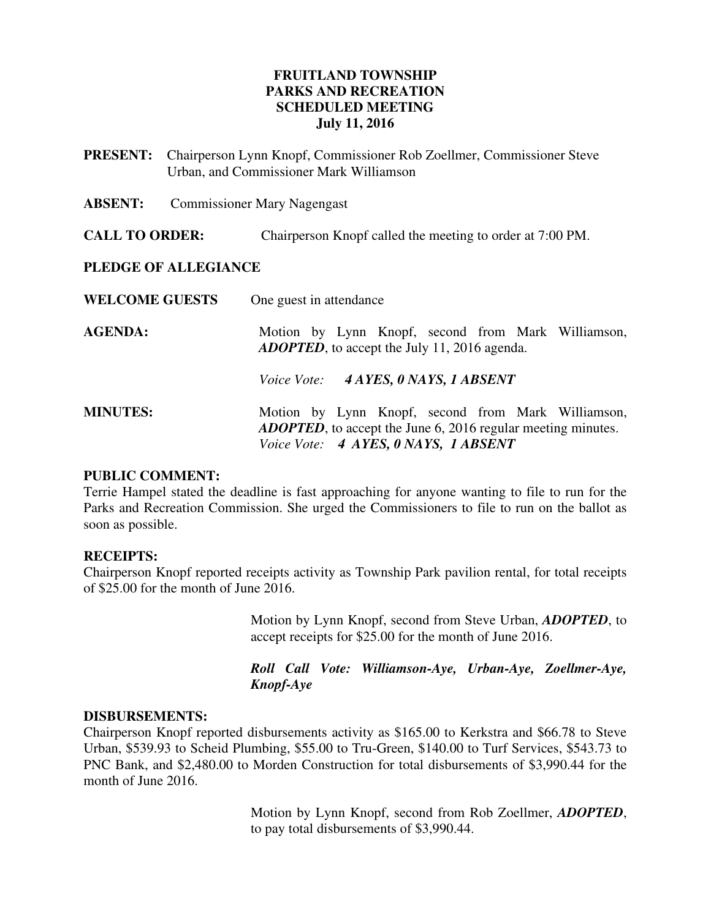# **FRUITLAND TOWNSHIP PARKS AND RECREATION SCHEDULED MEETING July 11, 2016**

- **PRESENT:** Chairperson Lynn Knopf, Commissioner Rob Zoellmer, Commissioner Steve Urban, and Commissioner Mark Williamson
- **ABSENT:** Commissioner Mary Nagengast
- **CALL TO ORDER:** Chairperson Knopf called the meeting to order at 7:00 PM.

### **PLEDGE OF ALLEGIANCE**

| <b>WELCOME GUESTS</b> | One guest in attendance                                                                                                                                            |
|-----------------------|--------------------------------------------------------------------------------------------------------------------------------------------------------------------|
| <b>AGENDA:</b>        | Motion by Lynn Knopf, second from Mark Williamson,<br><b>ADOPTED</b> , to accept the July 11, 2016 agenda.                                                         |
|                       | Voice Vote: 4 AYES, 0 NAYS, 1 ABSENT                                                                                                                               |
| <b>MINUTES:</b>       | Motion by Lynn Knopf, second from Mark Williamson,<br><b>ADOPTED</b> , to accept the June 6, 2016 regular meeting minutes.<br>Voice Vote: 4 AYES, 0 NAYS, 1 ABSENT |

### **PUBLIC COMMENT:**

Terrie Hampel stated the deadline is fast approaching for anyone wanting to file to run for the Parks and Recreation Commission. She urged the Commissioners to file to run on the ballot as soon as possible.

### **RECEIPTS:**

Chairperson Knopf reported receipts activity as Township Park pavilion rental, for total receipts of \$25.00 for the month of June 2016.

> Motion by Lynn Knopf, second from Steve Urban, *ADOPTED*, to accept receipts for \$25.00 for the month of June 2016.

> *Roll Call Vote: Williamson-Aye, Urban-Aye, Zoellmer-Aye, Knopf-Aye*

## **DISBURSEMENTS:**

Chairperson Knopf reported disbursements activity as \$165.00 to Kerkstra and \$66.78 to Steve Urban, \$539.93 to Scheid Plumbing, \$55.00 to Tru-Green, \$140.00 to Turf Services, \$543.73 to PNC Bank, and \$2,480.00 to Morden Construction for total disbursements of \$3,990.44 for the month of June 2016.

> Motion by Lynn Knopf, second from Rob Zoellmer, *ADOPTED*, to pay total disbursements of \$3,990.44.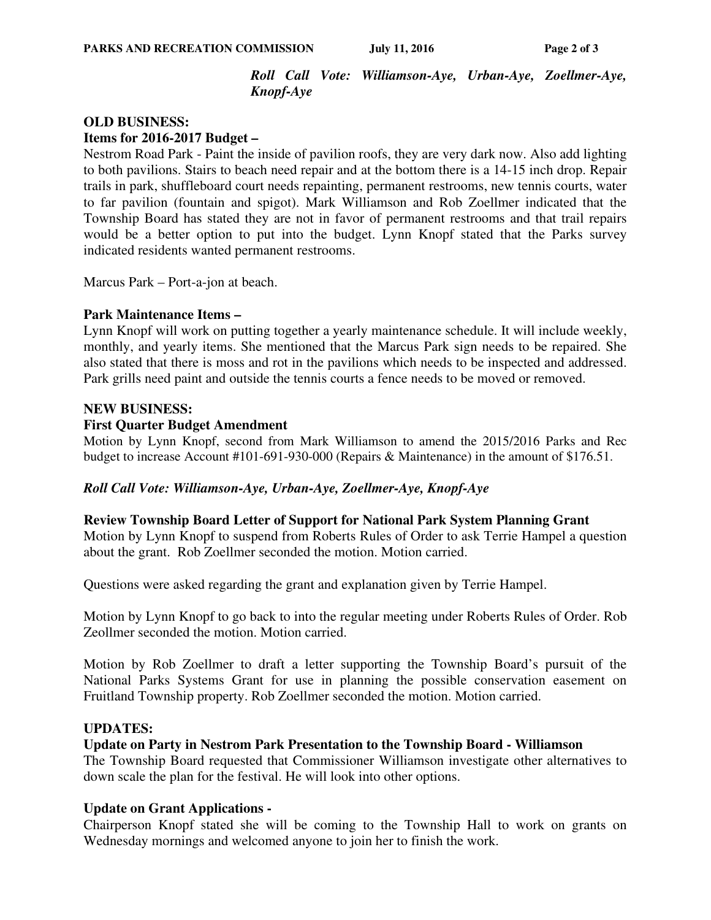*Roll Call Vote: Williamson-Aye, Urban-Aye, Zoellmer-Aye, Knopf-Aye* 

### **OLD BUSINESS:**

**Items for 2016-2017 Budget –** 

Nestrom Road Park - Paint the inside of pavilion roofs, they are very dark now. Also add lighting to both pavilions. Stairs to beach need repair and at the bottom there is a 14-15 inch drop. Repair trails in park, shuffleboard court needs repainting, permanent restrooms, new tennis courts, water to far pavilion (fountain and spigot). Mark Williamson and Rob Zoellmer indicated that the Township Board has stated they are not in favor of permanent restrooms and that trail repairs would be a better option to put into the budget. Lynn Knopf stated that the Parks survey indicated residents wanted permanent restrooms.

Marcus Park – Port-a-jon at beach.

### **Park Maintenance Items –**

Lynn Knopf will work on putting together a yearly maintenance schedule. It will include weekly, monthly, and yearly items. She mentioned that the Marcus Park sign needs to be repaired. She also stated that there is moss and rot in the pavilions which needs to be inspected and addressed. Park grills need paint and outside the tennis courts a fence needs to be moved or removed.

### **NEW BUSINESS:**

### **First Quarter Budget Amendment**

Motion by Lynn Knopf, second from Mark Williamson to amend the 2015/2016 Parks and Rec budget to increase Account #101-691-930-000 (Repairs & Maintenance) in the amount of \$176.51.

## *Roll Call Vote: Williamson-Aye, Urban-Aye, Zoellmer-Aye, Knopf-Aye*

### **Review Township Board Letter of Support for National Park System Planning Grant**

Motion by Lynn Knopf to suspend from Roberts Rules of Order to ask Terrie Hampel a question about the grant. Rob Zoellmer seconded the motion. Motion carried.

Questions were asked regarding the grant and explanation given by Terrie Hampel.

Motion by Lynn Knopf to go back to into the regular meeting under Roberts Rules of Order. Rob Zeollmer seconded the motion. Motion carried.

Motion by Rob Zoellmer to draft a letter supporting the Township Board's pursuit of the National Parks Systems Grant for use in planning the possible conservation easement on Fruitland Township property. Rob Zoellmer seconded the motion. Motion carried.

## **UPDATES:**

### **Update on Party in Nestrom Park Presentation to the Township Board - Williamson**

The Township Board requested that Commissioner Williamson investigate other alternatives to down scale the plan for the festival. He will look into other options.

### **Update on Grant Applications -**

Chairperson Knopf stated she will be coming to the Township Hall to work on grants on Wednesday mornings and welcomed anyone to join her to finish the work.